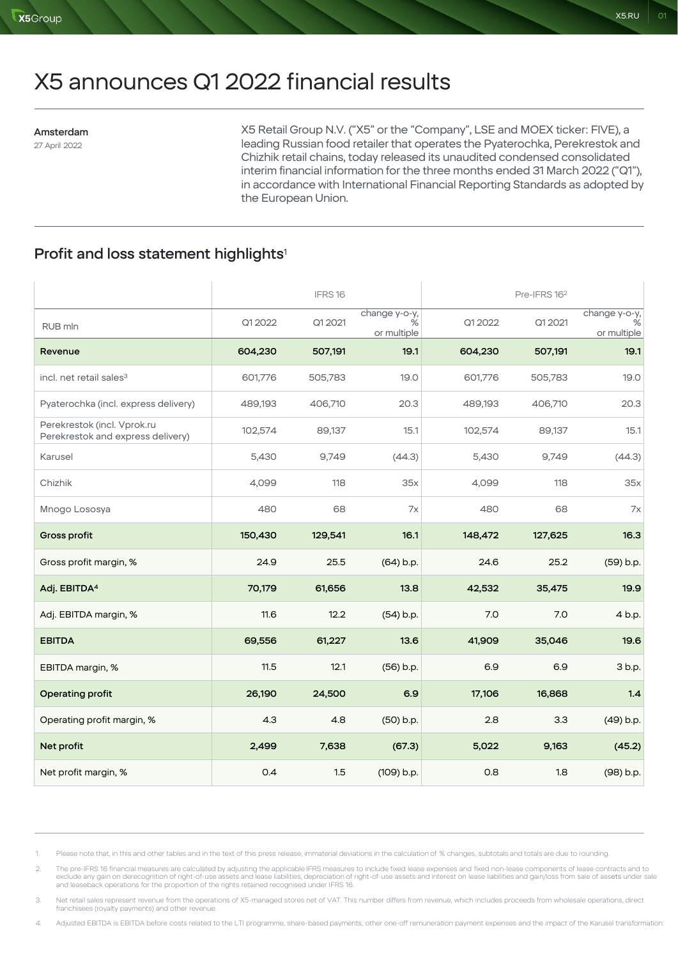# X5 announces Q1 2022 financial results

#### Amsterdam 27 April 2022

X5 Retail Group N.V. ("X5" or the "Company", LSE and MOEX ticker: FIVE), a leading Russian food retailer that operates the Pyaterochka, Perekrestok and Chizhik retail chains, today released its unaudited condensed consolidated interim financial information for the three months ended 31 March 2022 ("Q1"), in accordance with International Financial Reporting Standards as adopted by the European Union.

## Profit and loss statement highlights<sup>1</sup>

|                                                                  |         | IFRS16  |                                   |         | Pre-IFRS 16 <sup>2</sup> |                                   |
|------------------------------------------------------------------|---------|---------|-----------------------------------|---------|--------------------------|-----------------------------------|
| RUB mln                                                          | Q1 2022 | Q1 2021 | change y-o-y,<br>%<br>or multiple | Q1 2022 | Q1 2021                  | change y-o-y,<br>%<br>or multiple |
| Revenue                                                          | 604,230 | 507,191 | 19.1                              | 604,230 | 507,191                  | 19.1                              |
| incl. net retail sales <sup>3</sup>                              | 601,776 | 505,783 | 19.0                              | 601,776 | 505,783                  | 19.0                              |
| Pyaterochka (incl. express delivery)                             | 489,193 | 406,710 | 20.3                              | 489,193 | 406,710                  | 20.3                              |
| Perekrestok (incl. Vprok.ru<br>Perekrestok and express delivery) | 102,574 | 89,137  | 15.1                              | 102,574 | 89,137                   | 15.1                              |
| Karusel                                                          | 5,430   | 9,749   | (44.3)                            | 5,430   | 9,749                    | (44.3)                            |
| Chizhik                                                          | 4,099   | 118     | 35x                               | 4,099   | 118                      | 35x                               |
| Mnogo Lososya                                                    | 480     | 68      | 7x                                | 480     | 68                       | 7x                                |
| Gross profit                                                     | 150,430 | 129,541 | 16.1                              | 148,472 | 127,625                  | 16.3                              |
| Gross profit margin, %                                           | 24.9    | 25.5    | (64) b.p.                         | 24.6    | 25.2                     | (59) b.p.                         |
| Adj. EBITDA <sup>4</sup>                                         | 70,179  | 61,656  | 13.8                              | 42,532  | 35,475                   | 19.9                              |
| Adj. EBITDA margin, %                                            | 11.6    | 12.2    | (54) b.p.                         | 7.0     | 7.0                      | 4 b.p.                            |
| <b>EBITDA</b>                                                    | 69,556  | 61,227  | 13.6                              | 41,909  | 35,046                   | 19.6                              |
| EBITDA margin, %                                                 | 11.5    | 12.1    | (56) b.p.                         | 6.9     | 6.9                      | 3 b.p.                            |
| Operating profit                                                 | 26,190  | 24,500  | 6.9                               | 17,106  | 16,868                   | 1.4                               |
| Operating profit margin, %                                       | 4.3     | 4.8     | (50) b.p.                         | 2.8     | 3.3                      | (49) b.p.                         |
| Net profit                                                       | 2,499   | 7,638   | (67.3)                            | 5,022   | 9,163                    | (45.2)                            |
| Net profit margin, %                                             | 0.4     | 1.5     | (109) b.p.                        | 0.8     | 1.8                      | (98) b.p.                         |

1. Please note that, in this and other tables and in the text of this press release, immaterial deviations in the calculation of % changes, subtotals and totals are due to rounding.

2. The pre-IFRS 16 financial measures are calculated by adjusting the applicable IFRS measures to include fixed lease expenses and fixed non-lease components of lease contracts and to exclude any gain on derecognition of right-of-use assets and lease liabilities, depreciation of right-of-use assets and interest on lease liabilities and gain/loss from sale of assets under sale<br>and leaseback operations fo

Net retail sales represent revenue from the operations of X5-managed stores net of VAT. This number differs from revenue, which includes proceeds from wholesale operations, direct franchisees (royalty payments) and other revenue.

4. Adjusted EBITDA is EBITDA before costs related to the LTI programme, share-based payments, other one-off remuneration payment expenses and the impact of the Karusel transformation.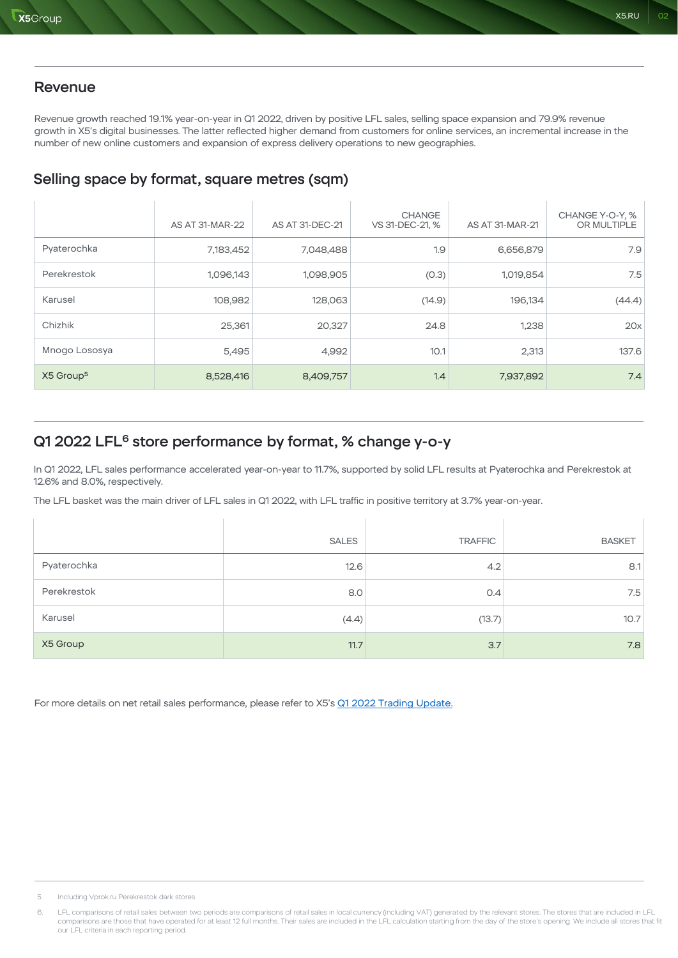Revenue growth reached 19.1% year-on-year in Q1 2022, driven by positive LFL sales, selling space expansion and 79.9% revenue growth in X5's digital businesses. The latter reflected higher demand from customers for online services, an incremental increase in the number of new online customers and expansion of express delivery operations to new geographies.

X5.RU 02

## Selling space by format, square metres (sqm)

|                       | AS AT 31-MAR-22 | AS AT 31-DEC-21 | <b>CHANGE</b><br>VS 31-DEC-21, % | AS AT 31-MAR-21 | CHANGE Y-O-Y, %<br>OR MULTIPLE |
|-----------------------|-----------------|-----------------|----------------------------------|-----------------|--------------------------------|
| Pyaterochka           | 7,183,452       | 7,048,488       | 1.9                              | 6,656,879       | 7.9                            |
| Perekrestok           | 1,096,143       | 1,098,905       | (0.3)                            | 1,019,854       | 7.5                            |
| Karusel               | 108,982         | 128,063         | (14.9)                           | 196,134         | (44.4)                         |
| Chizhik               | 25,361          | 20,327          | 24.8                             | 1,238           | 20x                            |
| Mnogo Lososya         | 5,495           | 4,992           | 10.1                             | 2,313           | 137.6                          |
| X5 Group <sup>5</sup> | 8,528,416       | 8,409,757       | 1.4                              | 7,937,892       | 7.4                            |

# Q1 2022 LFL<sup>6</sup> store performance by format, % change y-o-y

In Q1 2022, LFL sales performance accelerated year-on-year to 11.7%, supported by solid LFL results at Pyaterochka and Perekrestok at 12.6% and 8.0%, respectively.

The LFL basket was the main driver of LFL sales in Q1 2022, with LFL traffic in positive territory at 3.7% year-on-year.

|             | <b>SALES</b> | <b>TRAFFIC</b> | <b>BASKET</b> |
|-------------|--------------|----------------|---------------|
| Pyaterochka | 12.6         | 4.2            | 8.1           |
| Perekrestok | 8.0          | O.4            | 7.5           |
| Karusel     | (4.4)        | (13.7)         | 10.7          |
| X5 Group    | 11.7         | 3.7            | 7.8           |

For more details on net retail sales performance, please refer to X5's Q1 2022 Trading Update.

<sup>5.</sup> Including Vprok.ru Perekrestok dark stores.

<sup>6.</sup> LFL comparisons of retail sales between two periods are comparisons of retail sales in local currency (including VAT) generated by the relevant stores. The stores that are included in LFL comparisons are those that have operated for at least 12 full months. Their sales are included in the LFL calculation starting from the day of the store's opening. We include all stores that fit<br>our LFL criteria in each re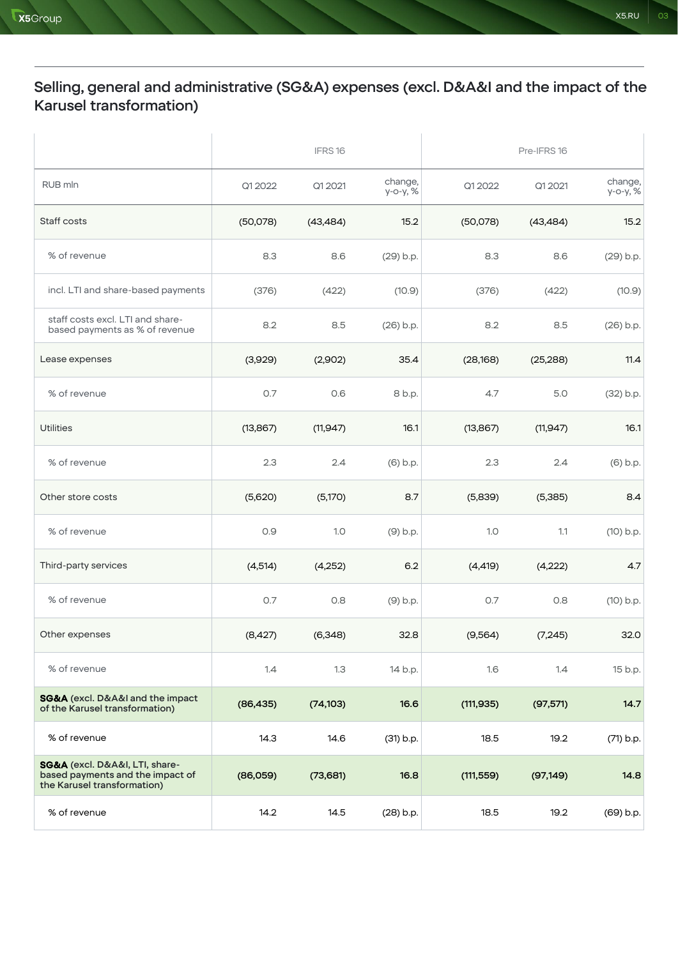# Selling, general and administrative (SG&A) expenses (excl. D&A&I and the impact of the Karusel transformation)

|                                                                                                   | IFRS16    |           |                     | Pre-IFRS 16 |           |                     |
|---------------------------------------------------------------------------------------------------|-----------|-----------|---------------------|-------------|-----------|---------------------|
| RUB mln                                                                                           | Q1 2022   | Q1 2021   | change,<br>у-о-у, % | Q1 2022     | Q1 2021   | change,<br>у-о-у, % |
| Staff costs                                                                                       | (50,078)  | (43, 484) | 15.2                | (50,078)    | (43, 484) | 15.2                |
| % of revenue                                                                                      | 8.3       | 8.6       | (29) b.p.           | 8.3         | 8.6       | (29) b.p.           |
| incl. LTI and share-based payments                                                                | (376)     | (422)     | (10.9)              | (376)       | (422)     | (10.9)              |
| staff costs excl. LTI and share-<br>based payments as % of revenue                                | 8.2       | 8.5       | $(26)$ b.p.         | 8.2         | 8.5       | (26) b.p.           |
| Lease expenses                                                                                    | (3,929)   | (2,902)   | 35.4                | (28, 168)   | (25, 288) | 11.4                |
| % of revenue                                                                                      | 0.7       | O.6       | 8 b.p.              | 4.7         | 5.0       | (32) b.p.           |
| <b>Utilities</b>                                                                                  | (13, 867) | (11, 947) | 16.1                | (13, 867)   | (11, 947) | 16.1                |
| % of revenue                                                                                      | 2.3       | 2.4       | $(6)$ b.p.          | 2.3         | 2.4       | (6) b.p.            |
| Other store costs                                                                                 | (5,620)   | (5,170)   | 8.7                 | (5,839)     | (5,385)   | 8.4                 |
| % of revenue                                                                                      | 0.9       | 1.0       | (9) b.p.            | 1.0         | 1.1       | $(10)$ b.p.         |
| Third-party services                                                                              | (4, 514)  | (4,252)   | 6.2                 | (4, 419)    | (4,222)   | 4.7                 |
| % of revenue                                                                                      | 0.7       | 0.8       | $(9)$ b.p.          | 0.7         | 0.8       | $(10)$ b.p.         |
| Other expenses                                                                                    | (8,427)   | (6,348)   | 32.8                | (9, 564)    | (7, 245)  | 32.0                |
| % of revenue                                                                                      | 1.4       | 1.3       | 14 b.p.             | 1.6         | 1.4       | 15 b.p.             |
| <b>SG&amp;A</b> (excl. D&A&I and the impact<br>of the Karusel transformation)                     | (86, 435) | (74, 103) | 16.6                | (111, 935)  | (97, 571) | 14.7                |
| % of revenue                                                                                      | 14.3      | 14.6      | (31) b.p.           | 18.5        | 19.2      | (71) b.p.           |
| SG&A (excl. D&A&I, LTI, share-<br>based payments and the impact of<br>the Karusel transformation) | (86,059)  | (73,681)  | 16.8                | (111, 559)  | (97, 149) | 14.8                |
| % of revenue                                                                                      | 14.2      | 14.5      | (28) b.p.           | 18.5        | 19.2      | (69) b.p.           |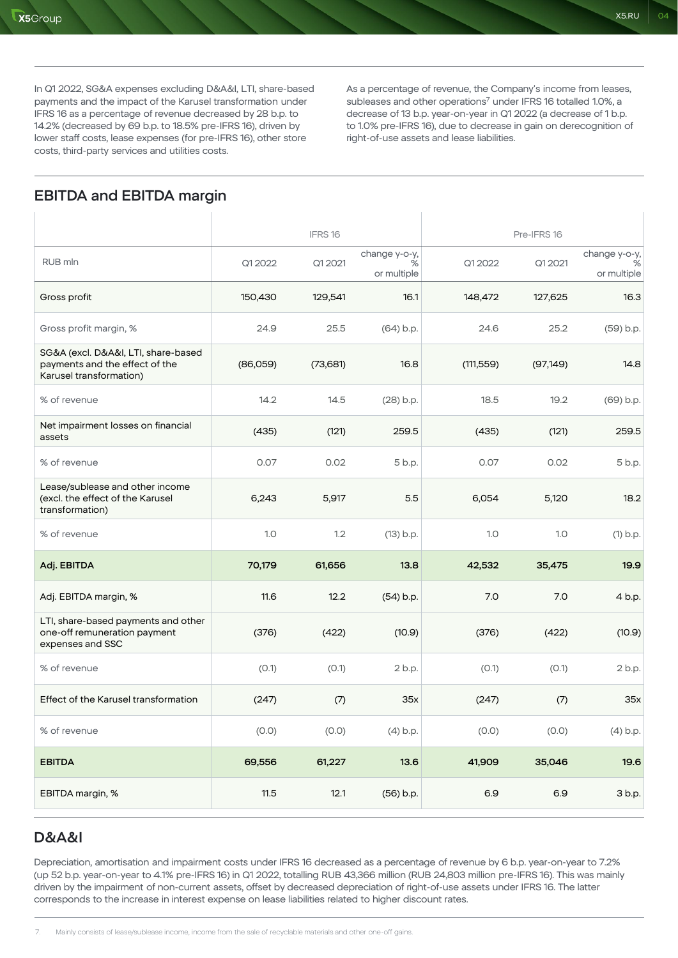In Q1 2022, SG&A expenses excluding D&A&I, LTI, share-based payments and the impact of the Karusel transformation under IFRS 16 as a percentage of revenue decreased by 28 b.p. to 14.2% (decreased by 69 b.p. to 18.5% pre-IFRS 16), driven by lower staff costs, lease expenses (for pre-IFRS 16), other store costs, third-party services and utilities costs.

As a percentage of revenue, the Company's income from leases, subleases and other operations<sup>7</sup> under IFRS 16 totalled 1.0%, a decrease of 13 b.p. year-on-year in Q1 2022 (a decrease of 1 b.p. to 1.0% pre-IFRS 16), due to decrease in gain on derecognition of right-of-use assets and lease liabilities.

 $\overline{1}$ 

# EBITDA and EBITDA margin

|                                                                                                  |          | IFRS16   |                                   |            | Pre-IFRS 16 |                                   |
|--------------------------------------------------------------------------------------------------|----------|----------|-----------------------------------|------------|-------------|-----------------------------------|
| RUB mln                                                                                          | Q1 2022  | Q1 2021  | change y-o-y,<br>℅<br>or multiple | Q1 2022    | Q1 2021     | change y-o-y,<br>℅<br>or multiple |
| Gross profit                                                                                     | 150,430  | 129,541  | 16.1                              | 148,472    | 127,625     | 16.3                              |
| Gross profit margin, %                                                                           | 24.9     | 25.5     | (64) b.p.                         | 24.6       | 25.2        | (59) b.p.                         |
| SG&A (excl. D&A&I, LTI, share-based<br>payments and the effect of the<br>Karusel transformation) | (86,059) | (73,681) | 16.8                              | (111, 559) | (97, 149)   | 14.8                              |
| % of revenue                                                                                     | 14.2     | 14.5     | $(28)$ b.p.                       | 18.5       | 19.2        | (69) b.p.                         |
| Net impairment losses on financial<br>assets                                                     | (435)    | (121)    | 259.5                             | (435)      | (121)       | 259.5                             |
| % of revenue                                                                                     | 0.07     | 0.02     | 5 b.p.                            | 0.07       | 0.02        | 5 b.p.                            |
| Lease/sublease and other income<br>(excl. the effect of the Karusel<br>transformation)           | 6,243    | 5,917    | 5.5                               | 6,054      | 5,120       | 18.2                              |
| % of revenue                                                                                     | 1.0      | 1.2      | (13) b.p.                         | 1.0        | 1.0         | $(1)$ b.p.                        |
| Adj. EBITDA                                                                                      | 70,179   | 61,656   | 13.8                              | 42,532     | 35,475      | 19.9                              |
| Adj. EBITDA margin, %                                                                            | 11.6     | 12.2     | $(54)$ b.p.                       | 7.0        | 7.0         | 4 b.p.                            |
| LTI, share-based payments and other<br>one-off remuneration payment<br>expenses and SSC          | (376)    | (422)    | (10.9)                            | (376)      | (422)       | (10.9)                            |
| % of revenue                                                                                     | (0.1)    | (0.1)    | 2 b.p.                            | (0.1)      | (0.1)       | 2 b.p.                            |
| Effect of the Karusel transformation                                                             | (247)    | (7)      | 35x                               | (247)      | (7)         | 35x                               |
| % of revenue                                                                                     | (0.0)    | (0.0)    | $(4)$ b.p.                        | (0.0)      | (0.0)       | $(4)$ b.p.                        |
| <b>EBITDA</b>                                                                                    | 69,556   | 61,227   | 13.6                              | 41,909     | 35,046      | 19.6                              |
| EBITDA margin, %                                                                                 | 11.5     | 12.1     | (56) b.p.                         | 6.9        | 6.9         | 3 b.p.                            |

#### D&A&I

Depreciation, amortisation and impairment costs under IFRS 16 decreased as a percentage of revenue by 6 b.p. year-on-year to 7.2% (up 52 b.p. year-on-year to 4.1% pre-IFRS 16) in Q1 2022, totalling RUB 43,366 million (RUB 24,803 million pre-IFRS 16). This was mainly driven by the impairment of non-current assets, offset by decreased depreciation of right-of-use assets under IFRS 16. The latter corresponds to the increase in interest expense on lease liabilities related to higher discount rates.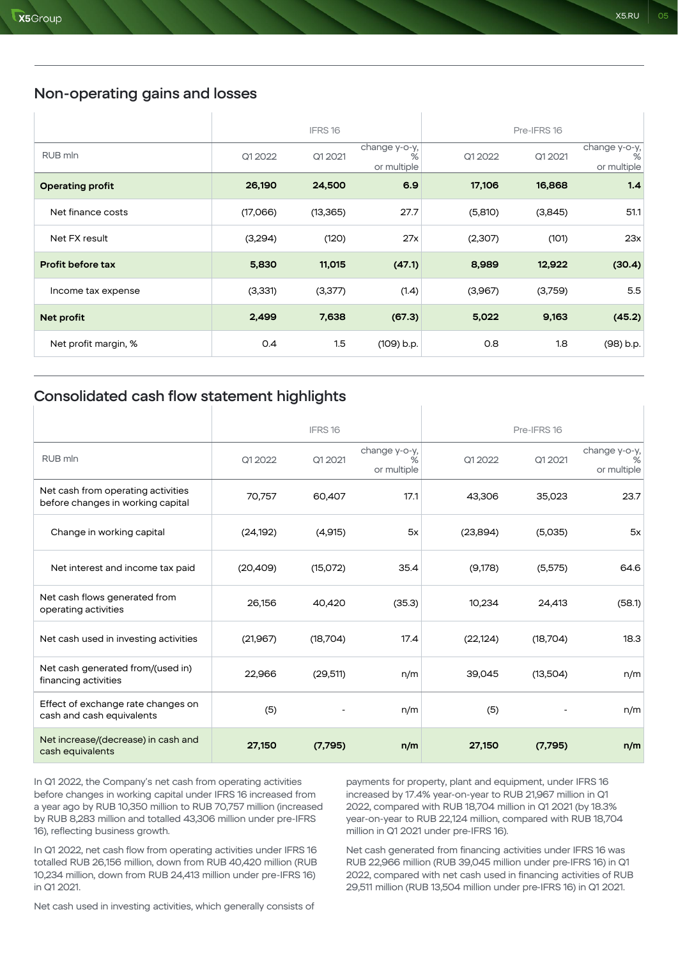## Non-operating gains and losses

|                         |          | IFRS16    |                                   |         | Pre-IFRS 16 |                                   |
|-------------------------|----------|-----------|-----------------------------------|---------|-------------|-----------------------------------|
| RUB mln                 | Q1 2022  | Q1 2021   | change y-o-y,<br>%<br>or multiple | Q1 2022 | Q1 2021     | change y-o-y,<br>%<br>or multiple |
| <b>Operating profit</b> | 26,190   | 24,500    | 6.9                               | 17,106  | 16,868      | 1.4                               |
| Net finance costs       | (17,066) | (13, 365) | 27.7                              | (5,810) | (3,845)     | 51.1                              |
| Net FX result           | (3,294)  | (120)     | 27x                               | (2,307) | (101)       | 23x                               |
| Profit before tax       | 5,830    | 11,015    | (47.1)                            | 8,989   | 12,922      | (30.4)                            |
| Income tax expense      | (3,331)  | (3,377)   | (1.4)                             | (3,967) | (3,759)     | 5.5                               |
| Net profit              | 2,499    | 7,638     | (67.3)                            | 5,022   | 9,163       | (45.2)                            |
| Net profit margin, %    | 0.4      | 1.5       | (109) b.p.                        | 0.8     | 1.8         | (98) b.p.                         |

 $\overline{1}$ 

#### Consolidated cash flow statement highlights

|                                                                         |           | IFRS <sub>16</sub> |                                   |           | Pre-IFRS 16 |                                   |
|-------------------------------------------------------------------------|-----------|--------------------|-----------------------------------|-----------|-------------|-----------------------------------|
| RUB mln                                                                 | Q1 2022   | Q1 2021            | change y-o-y,<br>℅<br>or multiple | Q1 2022   | Q1 2021     | change y-o-y,<br>℅<br>or multiple |
| Net cash from operating activities<br>before changes in working capital | 70,757    | 60,407             | 17.1                              | 43,306    | 35,023      | 23.7                              |
| Change in working capital                                               | (24, 192) | (4,915)            | 5x                                | (23,894)  | (5,035)     | 5x                                |
| Net interest and income tax paid                                        | (20, 409) | (15,072)           | 35.4                              | (9,178)   | (5,575)     | 64.6                              |
| Net cash flows generated from<br>operating activities                   | 26,156    | 40,420             | (35.3)                            | 10,234    | 24,413      | (58.1)                            |
| Net cash used in investing activities                                   | (21, 967) | (18,704)           | 17.4                              | (22, 124) | (18,704)    | 18.3                              |
| Net cash generated from/(used in)<br>financing activities               | 22,966    | (29,511)           | n/m                               | 39,045    | (13,504)    | n/m                               |
| Effect of exchange rate changes on<br>cash and cash equivalents         | (5)       |                    | n/m                               | (5)       |             | n/m                               |
| Net increase/(decrease) in cash and<br>cash equivalents                 | 27,150    | (7,795)            | n/m                               | 27,150    | (7,795)     | n/m                               |

In Q1 2022, the Company's net cash from operating activities before changes in working capital under IFRS 16 increased from a year ago by RUB 10,350 million to RUB 70,757 million (increased by RUB 8,283 million and totalled 43,306 million under pre-IFRS 16), reflecting business growth.

payments for property, plant and equipment, under IFRS 16 increased by 17.4% year-on-year to RUB 21,967 million in Q1 2022, compared with RUB 18,704 million in Q1 2021 (by 18.3% year-on-year to RUB 22,124 million, compared with RUB 18,704 million in Q1 2021 under pre-IFRS 16).

In Q1 2022, net cash flow from operating activities under IFRS 16 totalled RUB 26,156 million, down from RUB 40,420 million (RUB 10,234 million, down from RUB 24,413 million under pre-IFRS 16) in Q1 2021.

Net cash used in investing activities, which generally consists of

Net cash generated from financing activities under IFRS 16 was RUB 22,966 million (RUB 39,045 million under pre-IFRS 16) in Q1 2022, compared with net cash used in financing activities of RUB 29,511 million (RUB 13,504 million under pre-IFRS 16) in Q1 2021.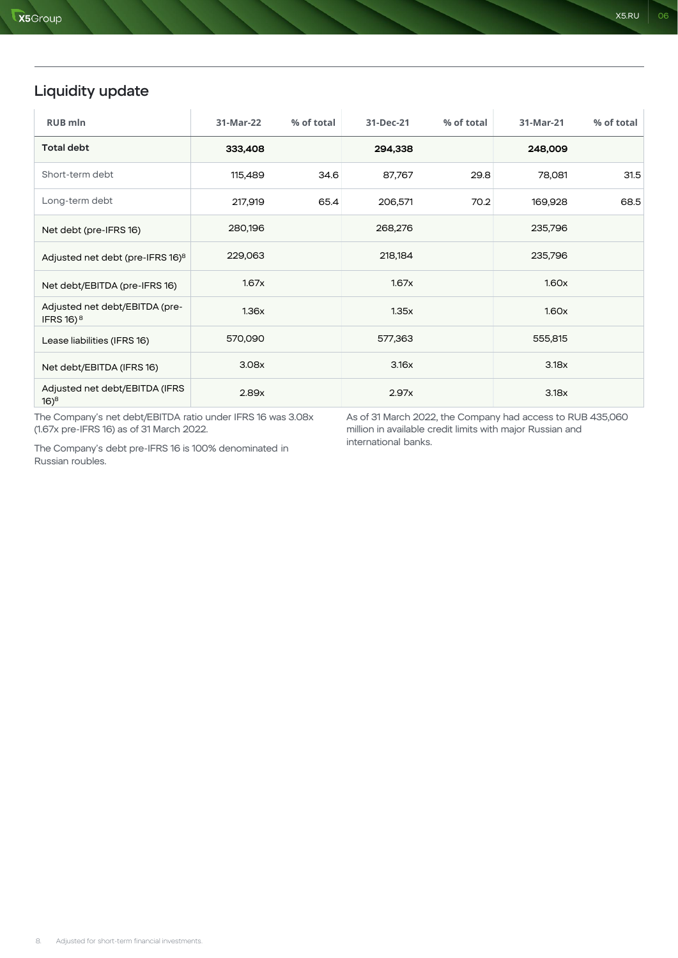# Liquidity update

| <b>RUB mln</b>                                          | 31-Mar-22 | % of total | 31-Dec-21 | % of total | 31-Mar-21 | % of total |
|---------------------------------------------------------|-----------|------------|-----------|------------|-----------|------------|
| <b>Total debt</b>                                       | 333,408   |            | 294,338   |            | 248,009   |            |
| Short-term debt                                         | 115,489   | 34.6       | 87,767    | 29.8       | 78,081    | 31.5       |
| Long-term debt                                          | 217,919   | 65.4       | 206,571   | 70.2       | 169,928   | 68.5       |
| Net debt (pre-IFRS 16)                                  | 280,196   |            | 268,276   |            | 235,796   |            |
| Adjusted net debt (pre-IFRS 16) <sup>8</sup>            | 229,063   |            | 218,184   |            | 235,796   |            |
| Net debt/EBITDA (pre-IFRS 16)                           | 1.67x     |            | 1.67x     |            | 1.60x     |            |
| Adjusted net debt/EBITDA (pre-<br>IFRS 16) <sup>8</sup> | 1.36x     |            | 1.35x     |            | 1.60x     |            |
| Lease liabilities (IFRS 16)                             | 570,090   |            | 577,363   |            | 555,815   |            |
| Net debt/EBITDA (IFRS 16)                               | 3.08x     |            | 3.16x     |            | 3.18x     |            |
| Adjusted net debt/EBITDA (IFRS<br>$16)^8$               | 2.89x     |            | 2.97x     |            | 3.18x     |            |

The Company's net debt/EBITDA ratio under IFRS 16 was 3.08x (1.67x pre-IFRS 16) as of 31 March 2022.

As of 31 March 2022, the Company had access to RUB 435,060 million in available credit limits with major Russian and international banks.

The Company's debt pre-IFRS 16 is 100% denominated in Russian roubles.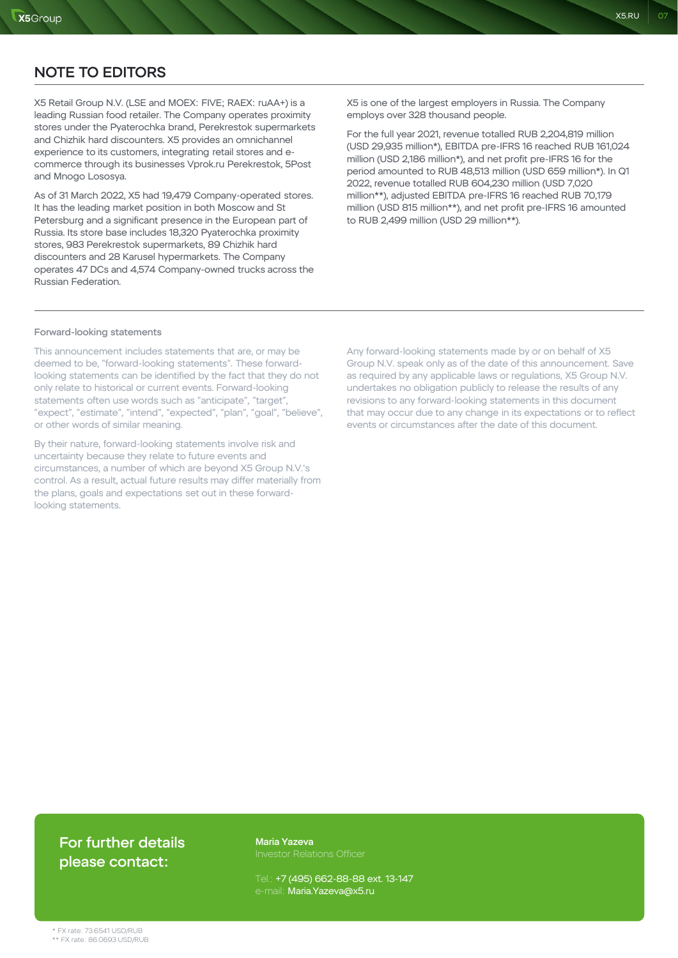X5 Retail Group N.V. (LSE and MOEX: FIVE; RAEX: ruAA+) is a leading Russian food retailer. The Company operates proximity stores under the Pyaterochka brand, Perekrestok supermarkets and Chizhik hard discounters. X5 provides an omnichannel experience to its customers, integrating retail stores and ecommerce through its businesses Vprok.ru Perekrestok, 5Post and Mnogo Lososya.

As of 31 March 2022, X5 had 19,479 Company-operated stores. It has the leading market position in both Moscow and St Petersburg and a significant presence in the European part of Russia. Its store base includes 18,320 Pyaterochka proximity stores, 983 Perekrestok supermarkets, 89 Chizhik hard discounters and 28 Karusel hypermarkets. The Company operates 47 DCs and 4,574 Company-owned trucks across the Russian Federation.

X5 is one of the largest employers in Russia. The Company employs over 328 thousand people.

X5.RU 07

For the full year 2021, revenue totalled RUB 2,204,819 million (USD 29,935 million\*), EBITDA pre-IFRS 16 reached RUB 161,024 million (USD 2,186 million\*), and net profit pre-IFRS 16 for the period amounted to RUB 48,513 million (USD 659 million\*). In Q1 2022, revenue totalled RUB 604,230 million (USD 7,020 million\*\*), adjusted EBITDA pre-IFRS 16 reached RUB 70,179 million (USD 815 million\*\*), and net profit pre-IFRS 16 amounted to RUB 2,499 million (USD 29 million\*\*).

#### Forward-looking statements

This announcement includes statements that are, or may be deemed to be, "forward-looking statements". These forwardlooking statements can be identified by the fact that they do not only relate to historical or current events. Forward-looking statements often use words such as "anticipate", "target", "expect", "estimate", "intend", "expected", "plan", "goal", "believe", or other words of similar meaning.

By their nature, forward-looking statements involve risk and uncertainty because they relate to future events and circumstances, a number of which are beyond X5 Group N.V.'s control. As a result, actual future results may differ materially from the plans, goals and expectations set out in these forwardlooking statements.

Any forward-looking statements made by or on behalf of X5 Group N.V. speak only as of the date of this announcement. Save as required by any applicable laws or regulations, X5 Group N.V. undertakes no obligation publicly to release the results of any revisions to any forward-looking statements in this document that may occur due to any change in its expectations or to reflect events or circumstances after the date of this document.

## For further details please contact:

Maria Yazeva

Tel.: +7 (495) 662-88-88 ext. 13-147 e-mail: Maria.Yazeva@x5.ru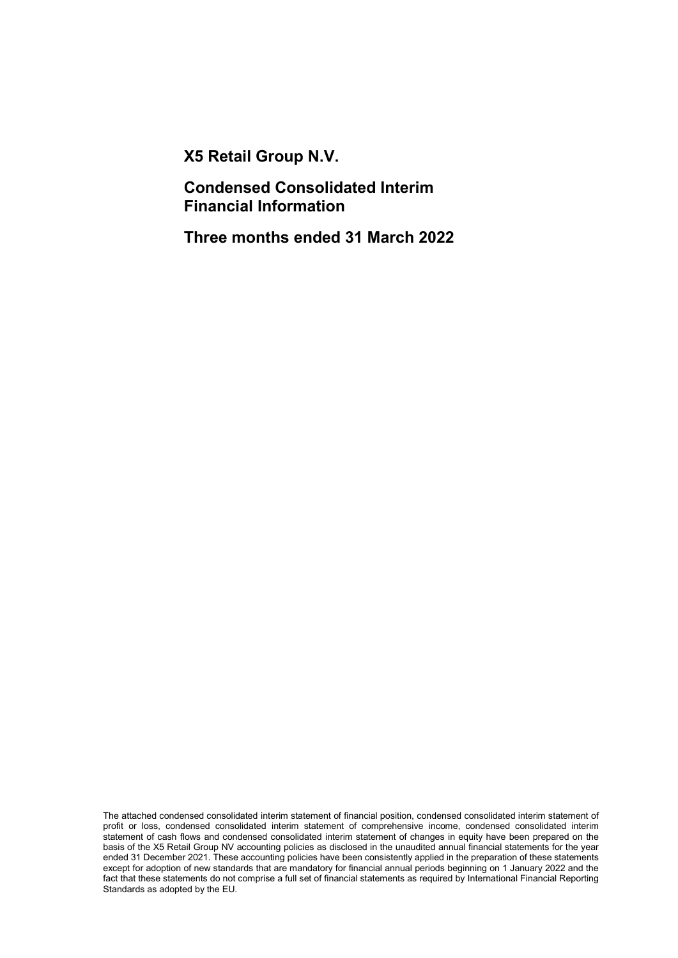X5 Retail Group N.V.

Condensed Consolidated Interim Financial Information

Three months ended 31 March 2022

The attached condensed consolidated interim statement of financial position, condensed consolidated interim statement of profit or loss, condensed consolidated interim statement of comprehensive income, condensed consolidated interim statement of cash flows and condensed consolidated interim statement of changes in equity have been prepared on the basis of the X5 Retail Group NV accounting policies as disclosed in the unaudited annual financial statements for the year ended 31 December 2021. These accounting policies have been consistently applied in the preparation of these statements except for adoption of new standards that are mandatory for financial annual periods beginning on 1 January 2022 and the fact that these statements do not comprise a full set of financial statements as required by International Financial Reporting Standards as adopted by the EU.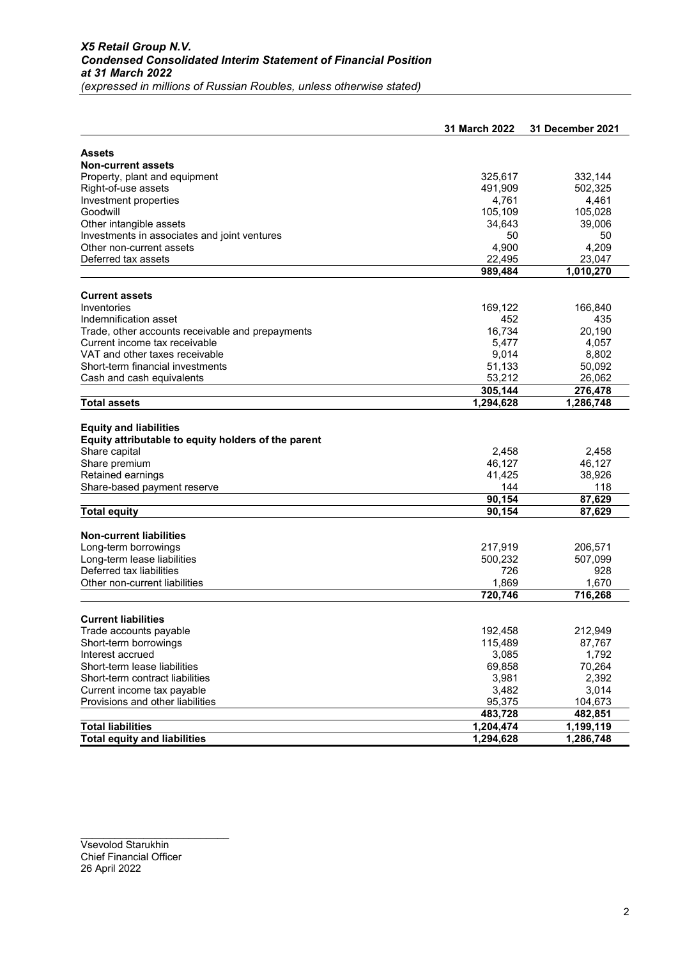|                                                     | 31 March 2022    | <b>31 December 2021</b> |
|-----------------------------------------------------|------------------|-------------------------|
|                                                     |                  |                         |
| Assets<br><b>Non-current assets</b>                 |                  |                         |
| Property, plant and equipment                       | 325,617          | 332,144                 |
| Right-of-use assets                                 | 491,909          | 502,325                 |
| Investment properties                               | 4,761            | 4,461                   |
| Goodwill                                            | 105,109          | 105,028                 |
| Other intangible assets                             | 34,643           | 39,006                  |
| Investments in associates and joint ventures        | 50               | 50                      |
| Other non-current assets                            | 4,900            | 4,209                   |
| Deferred tax assets                                 | 22,495           | 23,047                  |
|                                                     | 989,484          | 1,010,270               |
| <b>Current assets</b>                               |                  |                         |
| Inventories                                         | 169,122          | 166,840                 |
| Indemnification asset                               | 452              | 435                     |
| Trade, other accounts receivable and prepayments    | 16,734           | 20,190                  |
| Current income tax receivable                       | 5,477            | 4,057                   |
| VAT and other taxes receivable                      | 9,014            | 8,802                   |
| Short-term financial investments                    | 51,133           | 50,092                  |
| Cash and cash equivalents                           | 53,212           | 26,062                  |
|                                                     | 305,144          | 276,478                 |
| <b>Total assets</b>                                 | 1,294,628        | 1,286,748               |
|                                                     |                  |                         |
| <b>Equity and liabilities</b>                       |                  |                         |
| Equity attributable to equity holders of the parent |                  |                         |
| Share capital                                       | 2,458            | 2,458                   |
| Share premium<br>Retained earnings                  | 46,127<br>41,425 | 46,127<br>38,926        |
| Share-based payment reserve                         | 144              | 118                     |
|                                                     | 90,154           | 87,629                  |
| <b>Total equity</b>                                 | 90,154           | 87,629                  |
|                                                     |                  |                         |
| <b>Non-current liabilities</b>                      |                  |                         |
| Long-term borrowings                                | 217,919          | 206,571                 |
| Long-term lease liabilities                         | 500,232          | 507,099                 |
| Deferred tax liabilities                            | 726              | 928                     |
| Other non-current liabilities                       | 1,869            | 1,670                   |
|                                                     | 720,746          | 716,268                 |
|                                                     |                  |                         |
| <b>Current liabilities</b>                          |                  |                         |
| Trade accounts payable                              | 192,458          | 212,949                 |
| Short-term borrowings                               | 115,489          | 87,767                  |
| Interest accrued                                    | 3,085            | 1,792                   |
| Short-term lease liabilities                        | 69,858           | 70,264                  |
| Short-term contract liabilities                     | 3,981            | 2,392                   |
| Current income tax payable                          | 3,482            | 3,014                   |
| Provisions and other liabilities                    | 95,375           | 104,673                 |
|                                                     | 483,728          | 482,851                 |
| <b>Total liabilities</b>                            | 1,204,474        | 1,199,119               |
| <b>Total equity and liabilities</b>                 | 1,294,628        | 1,286,748               |

Vsevolod Starukhin Chief Financial Officer 26 April 2022

\_\_\_\_\_\_\_\_\_\_\_\_\_\_\_\_\_\_\_\_\_\_\_\_\_\_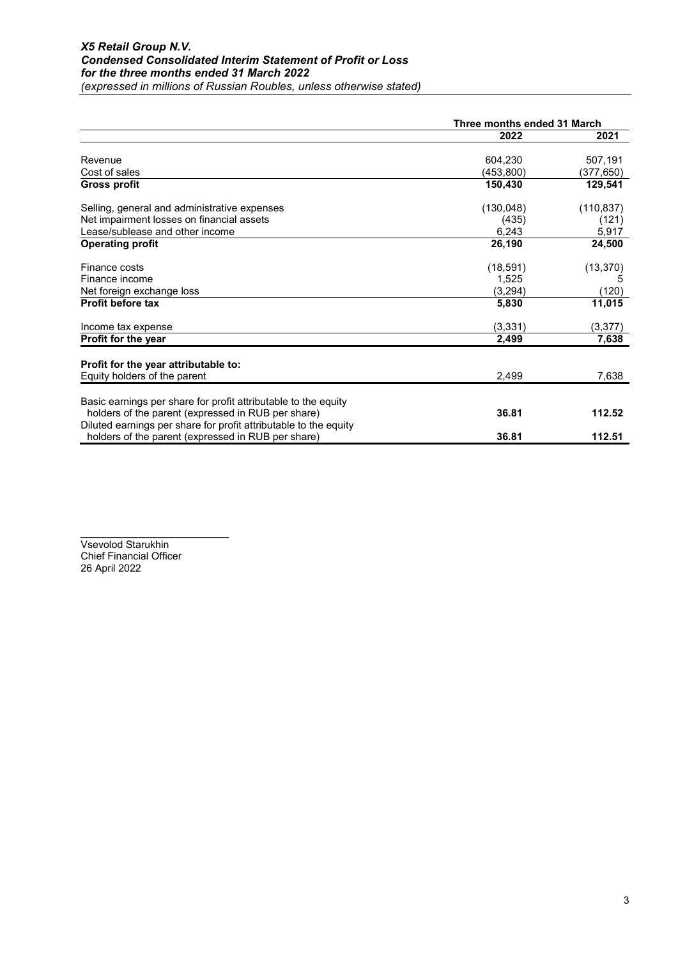|                                                                  | Three months ended 31 March |            |
|------------------------------------------------------------------|-----------------------------|------------|
|                                                                  | 2022                        | 2021       |
| Revenue                                                          | 604,230                     | 507,191    |
| Cost of sales                                                    | (453, 800)                  | (377,650)  |
| <b>Gross profit</b>                                              | 150,430                     | 129,541    |
| Selling, general and administrative expenses                     | (130, 048)                  | (110, 837) |
| Net impairment losses on financial assets                        | (435)                       | (121)      |
| Lease/sublease and other income                                  | 6,243                       | 5,917      |
| <b>Operating profit</b>                                          | 26,190                      | 24,500     |
| Finance costs                                                    | (18, 591)                   | (13, 370)  |
| Finance income                                                   | 1,525                       | 5          |
| Net foreign exchange loss                                        | (3,294)                     | (120)      |
| <b>Profit before tax</b>                                         | 5,830                       | 11,015     |
| Income tax expense                                               | (3, 331)                    | (3, 377)   |
| Profit for the year                                              | 2,499                       | 7,638      |
| Profit for the year attributable to:                             |                             |            |
| Equity holders of the parent                                     | 2,499                       | 7,638      |
| Basic earnings per share for profit attributable to the equity   |                             |            |
| holders of the parent (expressed in RUB per share)               | 36.81                       | 112.52     |
| Diluted earnings per share for profit attributable to the equity |                             |            |
| holders of the parent (expressed in RUB per share)               | 36.81                       | 112.51     |

\_\_\_\_\_\_\_\_\_\_\_\_\_\_\_\_\_\_\_\_\_\_\_\_\_\_ Vsevolod Starukhin Chief Financial Officer 26 April 2022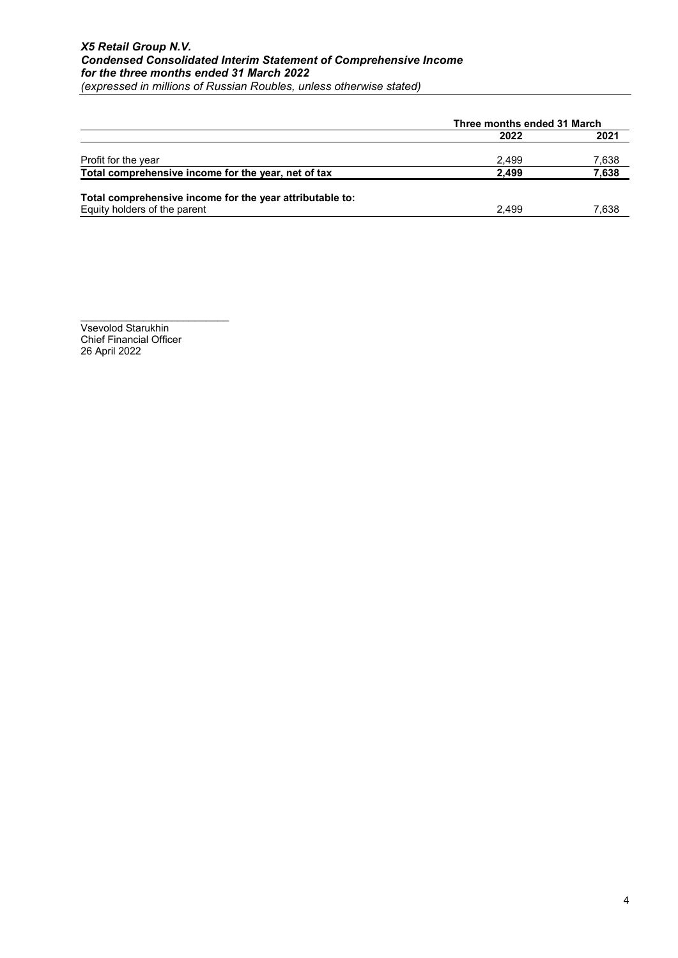|                                                          |       | Three months ended 31 March |  |  |
|----------------------------------------------------------|-------|-----------------------------|--|--|
|                                                          | 2022  | 2021                        |  |  |
| Profit for the year                                      | 2.499 | 7,638                       |  |  |
| Total comprehensive income for the year, net of tax      | 2.499 | 7,638                       |  |  |
| Total comprehensive income for the year attributable to: |       |                             |  |  |
| Equity holders of the parent                             | 2.499 | 7,638                       |  |  |

\_\_\_\_\_\_\_\_\_\_\_\_\_\_\_\_\_\_\_\_\_\_\_\_\_\_ Vsevolod Starukhin Chief Financial Officer 26 April 2022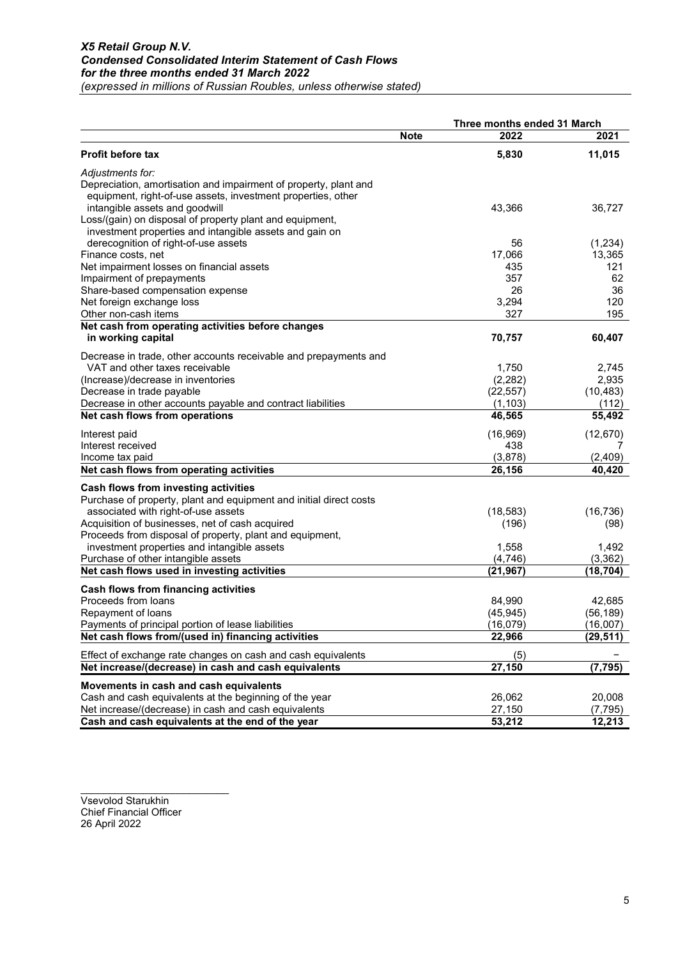|                                                                    | Note | Three months ended 31 March<br>2022 | 2021      |
|--------------------------------------------------------------------|------|-------------------------------------|-----------|
| <b>Profit before tax</b>                                           |      | 5,830                               | 11,015    |
| Adjustments for:                                                   |      |                                     |           |
| Depreciation, amortisation and impairment of property, plant and   |      |                                     |           |
| equipment, right-of-use assets, investment properties, other       |      |                                     |           |
| intangible assets and goodwill                                     |      | 43,366                              | 36,727    |
| Loss/(gain) on disposal of property plant and equipment,           |      |                                     |           |
| investment properties and intangible assets and gain on            |      |                                     |           |
| derecognition of right-of-use assets                               |      | 56                                  | (1,234)   |
| Finance costs, net                                                 |      | 17,066                              | 13,365    |
| Net impairment losses on financial assets                          |      | 435                                 | 121       |
| Impairment of prepayments<br>Share-based compensation expense      |      | 357<br>26                           | 62<br>36  |
| Net foreign exchange loss                                          |      | 3,294                               | 120       |
| Other non-cash items                                               |      | 327                                 | 195       |
| Net cash from operating activities before changes                  |      |                                     |           |
| in working capital                                                 |      | 70,757                              | 60,407    |
| Decrease in trade, other accounts receivable and prepayments and   |      |                                     |           |
| VAT and other taxes receivable                                     |      | 1,750                               | 2,745     |
| (Increase)/decrease in inventories                                 |      | (2, 282)                            | 2,935     |
| Decrease in trade payable                                          |      | (22, 557)                           | (10, 483) |
| Decrease in other accounts payable and contract liabilities        |      | (1, 103)                            | (112)     |
| Net cash flows from operations                                     |      | 46,565                              | 55,492    |
| Interest paid                                                      |      | (16, 969)                           | (12, 670) |
| Interest received                                                  |      | 438                                 |           |
| Income tax paid                                                    |      | (3,878)                             | (2,409)   |
| Net cash flows from operating activities                           |      | 26,156                              | 40,420    |
| Cash flows from investing activities                               |      |                                     |           |
| Purchase of property, plant and equipment and initial direct costs |      |                                     |           |
| associated with right-of-use assets                                |      | (18, 583)                           | (16, 736) |
| Acquisition of businesses, net of cash acquired                    |      | (196)                               | (98)      |
| Proceeds from disposal of property, plant and equipment,           |      |                                     |           |
| investment properties and intangible assets                        |      | 1,558                               | 1,492     |
| Purchase of other intangible assets                                |      | (4,746)                             | (3, 362)  |
| Net cash flows used in investing activities                        |      | (21, 967)                           | (18, 704) |
| Cash flows from financing activities                               |      |                                     |           |
| Proceeds from loans                                                |      | 84,990                              | 42,685    |
| Repayment of loans                                                 |      | (45, 945)                           | (56, 189) |
| Payments of principal portion of lease liabilities                 |      | (16, 079)                           | (16,007)  |
| Net cash flows from/(used in) financing activities                 |      | 22,966                              | (29, 511) |
| Effect of exchange rate changes on cash and cash equivalents       |      | (5)                                 |           |
| Net increase/(decrease) in cash and cash equivalents               |      | 27,150                              | (7, 795)  |
| Movements in cash and cash equivalents                             |      |                                     |           |
| Cash and cash equivalents at the beginning of the year             |      | 26,062                              | 20,008    |
| Net increase/(decrease) in cash and cash equivalents               |      | 27,150                              | (7, 795)  |
| Cash and cash equivalents at the end of the year                   |      | 53,212                              | 12,213    |

Vsevolod Starukhin Chief Financial Officer 26 April 2022

\_\_\_\_\_\_\_\_\_\_\_\_\_\_\_\_\_\_\_\_\_\_\_\_\_\_